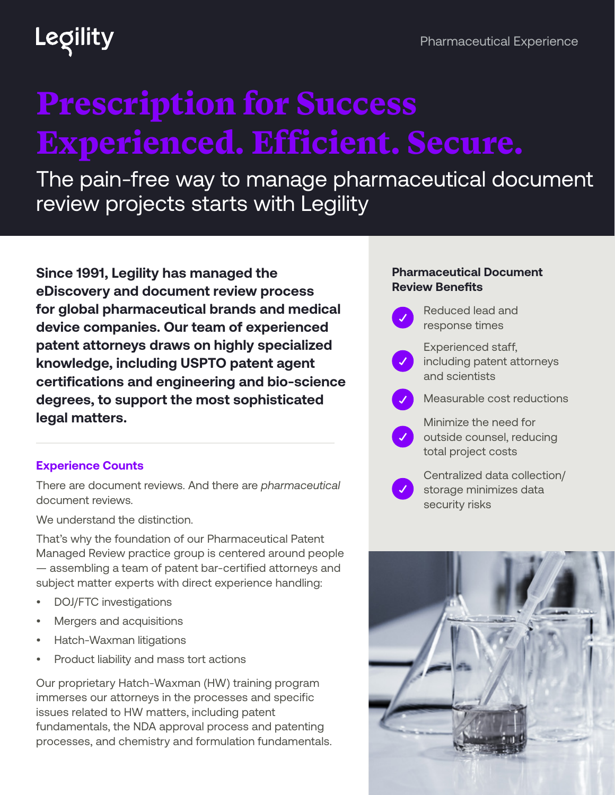## Legility

# Prescription for Success Experienced. Efficient. Secure.

The pain-free way to manage pharmaceutical document review projects starts with Legility

**Since 1991, Legility has managed the eDiscovery and document review process for global pharmaceutical brands and medical device companies. Our team of experienced patent attorneys draws on highly specialized knowledge, including USPTO patent agent certifications and engineering and bio-science degrees, to support the most sophisticated legal matters.**

### **Experience Counts**

There are document reviews. And there are *pharmaceutical* document reviews.

We understand the distinction.

That's why the foundation of our Pharmaceutical Patent Managed Review practice group is centered around people — assembling a team of patent bar-certified attorneys and subject matter experts with direct experience handling:

- DOJ/FTC investigations
- Mergers and acquisitions
- Hatch-Waxman litigations
- Product liability and mass tort actions

Our proprietary Hatch-Waxman (HW) training program immerses our attorneys in the processes and specific issues related to HW matters, including patent fundamentals, the NDA approval process and patenting processes, and chemistry and formulation fundamentals.

#### **Pharmaceutical Document Review Benefits**

- Reduced lead and response times Experienced staff, including patent attorneys and scientists Measurable cost reductions Minimize the need for outside counsel, reducing
	- total project costs

Centralized data collection/ storage minimizes data security risks